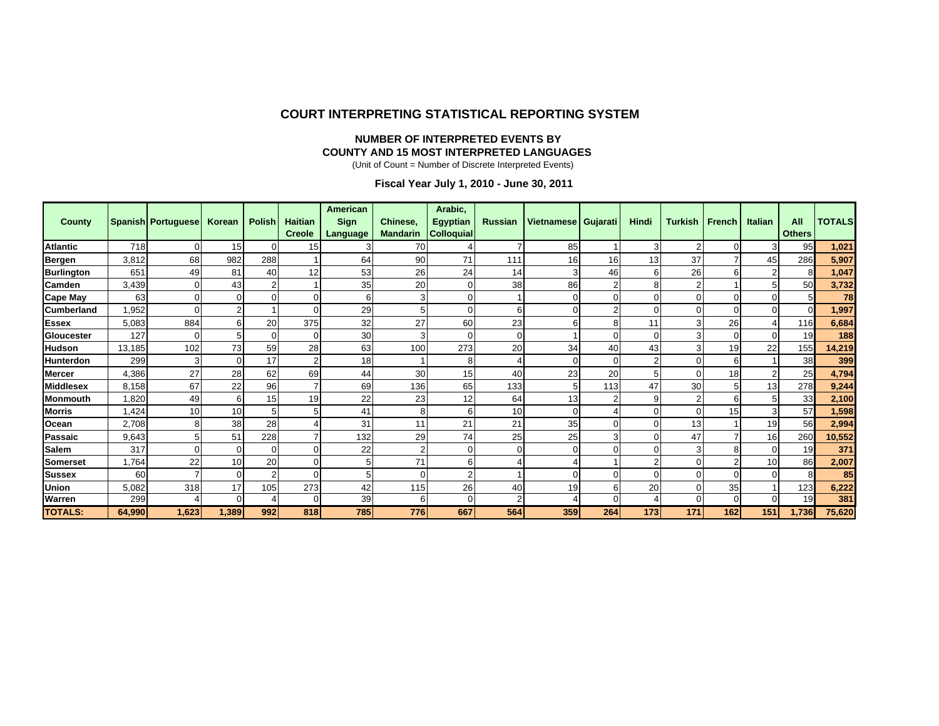#### **COURT INTERPRETING STATISTICAL REPORTING SYSTEM**

#### **NUMBER OF INTERPRETED EVENTS BY COUNTY AND 15 MOST INTERPRETED LANGUAGE S**

(Unit of Count = Number of Discrete Interpreted Events)

#### **Fiscal Year July 1, 2010 - June 30, 2011**

| <b>County</b>     |        | Spanish Portuguese | Korean      | <b>Polish</b> | <b>Haitian</b> | <b>American</b><br><b>Sign</b> | Chinese,        | Arabic,<br><b>Egyptian</b> | <b>Russian</b> | Vietnamese   Gujarati |                | Hindi | <b>Turkish</b> | French         | <b>Italian</b> | All             | <b>TOTALS</b> |
|-------------------|--------|--------------------|-------------|---------------|----------------|--------------------------------|-----------------|----------------------------|----------------|-----------------------|----------------|-------|----------------|----------------|----------------|-----------------|---------------|
|                   |        |                    |             |               | <b>Creole</b>  | Language                       | <b>Mandarin</b> | <b>Colloquial</b>          |                |                       |                |       |                |                |                | <b>Others</b>   |               |
| <b>Atlantic</b>   | 718    | 0                  | 15          |               | 15             | 3                              | 70              |                            |                | 85                    |                | 3     | 2              | $\Omega$       | 3              | 95              | 1,021         |
| Bergen            | 3,812  | 68                 | 982         | 288           |                | 64                             | 90              | 71                         | 111            | 16                    | 16             | 13    | 37             |                | 45             | 286             | 5,907         |
| <b>Burlington</b> | 651    | 49                 | 81          | 40            | 12             | 53                             | 26              | 24                         | 14             | 3                     | 46             | 6     | 26             | 6              | $\overline{2}$ | 8               | 1,047         |
| Camden            | 3,439  |                    | 43          |               |                | 35                             | 20              |                            | 38             | 86                    | $\overline{2}$ |       | n              |                |                | 50              | 3,732         |
| <b>Cape May</b>   | 63     |                    | 0           |               | 0              | 6                              | 3               |                            |                |                       | $\Omega$       |       |                | $\Omega$       |                | 5               | 78            |
| <b>Cumberland</b> | ,952   |                    | 2           |               |                | 29                             | 5               |                            |                |                       | $\overline{2}$ |       |                | $\Omega$       | $\Omega$       | O               | 1,997         |
| <b>Essex</b>      | 5,083  | 884                | 6           | 20            | 375            | 32                             | 27              | 60                         | 23             | հ                     | 8              | 11    |                | 26             |                | 116             | 6,684         |
| Gloucester        | 127    |                    | 5           |               |                | 30                             | 3               |                            |                |                       | $\Omega$       |       |                | $\Omega$       | $\Omega$       | 19              | 188           |
| <b>Hudson</b>     | 13,185 | 102                | 73          | 59            | 28             | 63                             | 100             | 273                        | 20             | 34                    | 40             | 43    | 3              | 19             | 22             | 155             | 14,219        |
| Hunterdon         | 299    | 31                 | $\mathbf 0$ | 17            |                | 18                             |                 |                            |                |                       | $\Omega$       |       |                | 6              |                | 38 <sup>l</sup> | 399           |
| <b>Mercer</b>     | 4,386  | 27                 | 28          | 62            | 69             | 44                             | 30              | 15                         | 40             | 23                    | 20             |       | $\Omega$       | 18             | $\overline{2}$ | 25              | 4,794         |
| <b>Middlesex</b>  | 8,158  | 67                 | 22          | 96            |                | 69                             | 136             | 65                         | 133            | 5                     | 113            | 47    | 30             | 5              | 13             | 278             | 9,244         |
| Monmouth          | ,820   | 49                 | 6           | 15            | 19             | 22                             | 23              | 12                         | 64             | 13                    | 2              |       | 2              | 6              | 5              | 33              | 2,100         |
| <b>Morris</b>     | 1,424  | 10                 | 10          |               | 5              | 41                             | 8               |                            | 10             |                       |                |       | $\Omega$       | 15             | 3              | 57              | 1,598         |
| <b>Ocean</b>      | 2,708  | 8                  | 38          | 28            |                | 31                             | 11              | 21                         | 21             | 35                    | $\Omega$       |       | 13             |                | 19             | 56              | 2,994         |
| Passaic           | 9,643  |                    | 51          | 228           |                | 132                            | 29              | 74                         | 25             | 25                    | 3              |       | 47             |                | 16             | 260             | 10,552        |
| <b>Salem</b>      | 317    | ∩                  | $\mathbf 0$ |               | $\Omega$       | 22                             | 2               |                            |                |                       | $\Omega$       |       | 3              | 8              | $\Omega$       | 19              | 371           |
| Somerset          | .764   | 22                 | 10          | 20            | $\Omega$       | 5                              | 71              | 6                          |                |                       |                |       |                | $\mathfrak{p}$ | 10             | 86              | 2,007         |
| <b>Sussex</b>     | 60     |                    | $\mathbf 0$ |               | $\Omega$       | 5                              | 0               |                            |                | ⋂                     | $\Omega$       |       | 0              | $\Omega$       | $\Omega$       | 8               | 85            |
| Union             | 5,082  | 318                | 17          | 105           | 273            | 42                             | 115             | 26                         | 40             | 19                    | 6              | 20    | $\Omega$       | 35             |                | 123             | 6,222         |
| Warren            | 299    |                    | $\mathbf 0$ |               | $\Omega$       | 39                             | 6               |                            |                |                       | $\Omega$       |       | $\Omega$       | $\Omega$       | $\Omega$       | 19              | 381           |
| <b>TOTALS:</b>    | 64,990 | 1,623              | 1,389       | 992           | 818            | 785                            | 776             | 667                        | 564            | 359                   | 264            | 173   | 171            | 162            | 151            | 1,736           | 75,620        |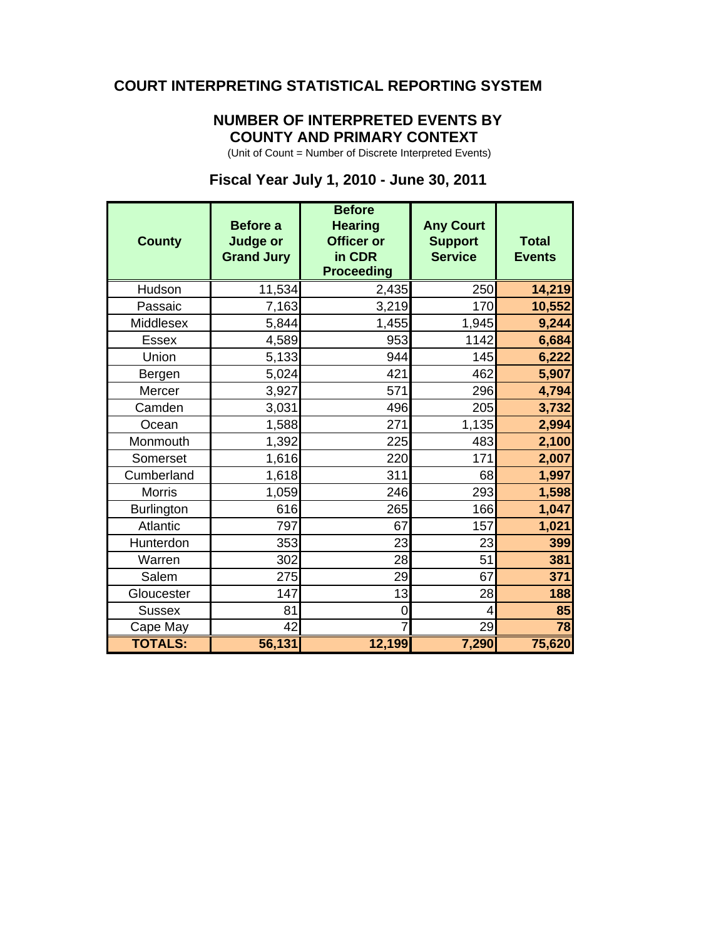#### **COURT INTERPRETING STATISTICAL REPORTING SYSTEM**

#### **NUMBER OF INTERPRETED EVENTS BY COUNTY AND PRIMARY CONTEXT**

(Unit of Count = Number of Discrete Interpreted Events)

### **Fiscal Year July 1, 2010 - June 30, 2011**

| <b>County</b>     | <b>Before a</b><br><b>Judge or</b><br><b>Grand Jury</b> | <b>Before</b><br><b>Hearing</b><br><b>Officer or</b><br>in CDR<br><b>Proceeding</b> | <b>Any Court</b><br><b>Support</b><br><b>Service</b> | <b>Total</b><br><b>Events</b> |
|-------------------|---------------------------------------------------------|-------------------------------------------------------------------------------------|------------------------------------------------------|-------------------------------|
| Hudson            | 11,534                                                  | 2,435                                                                               | 250                                                  | 14,219                        |
| Passaic           | 7,163                                                   | 3,219                                                                               | 170                                                  | 10,552                        |
| Middlesex         | 5,844                                                   | 1,455                                                                               | 1,945                                                | 9,244                         |
| <b>Essex</b>      | 4,589                                                   | 953                                                                                 | 1142                                                 | 6,684                         |
| Union             | 5,133                                                   | 944                                                                                 | 145                                                  | 6,222                         |
| Bergen            | 5,024                                                   | 421                                                                                 | 462                                                  | 5,907                         |
| Mercer            | 3,927                                                   | 571                                                                                 | 296                                                  | 4,794                         |
| Camden            | 3,031                                                   | 496                                                                                 | 205                                                  | 3,732                         |
| Ocean             | 1,588                                                   | 271                                                                                 | 1,135                                                | 2,994                         |
| Monmouth          | 1,392                                                   | 225                                                                                 | 483                                                  | 2,100                         |
| Somerset          | 1,616                                                   | 220                                                                                 | 171                                                  | 2,007                         |
| Cumberland        | 1,618                                                   | 311                                                                                 | 68                                                   | 1,997                         |
| <b>Morris</b>     | 1,059                                                   | 246                                                                                 | 293                                                  | 1,598                         |
| <b>Burlington</b> | 616                                                     | 265                                                                                 | 166                                                  | 1,047                         |
| Atlantic          | 797                                                     | 67                                                                                  | 157                                                  | 1,021                         |
| Hunterdon         | 353                                                     | 23                                                                                  | 23                                                   | 399                           |
| Warren            | 302                                                     | 28                                                                                  | 51                                                   | 381                           |
| Salem             | 275                                                     | 29                                                                                  | 67                                                   | 371                           |
| Gloucester        | 147                                                     | 13                                                                                  | 28                                                   | 188                           |
| <b>Sussex</b>     | 81                                                      | 0                                                                                   | 4                                                    | 85                            |
| Cape May          | 42                                                      |                                                                                     | 29                                                   | 78                            |
| <b>TOTALS:</b>    | 56,131                                                  | 12,199                                                                              | 7,290                                                | 75,620                        |